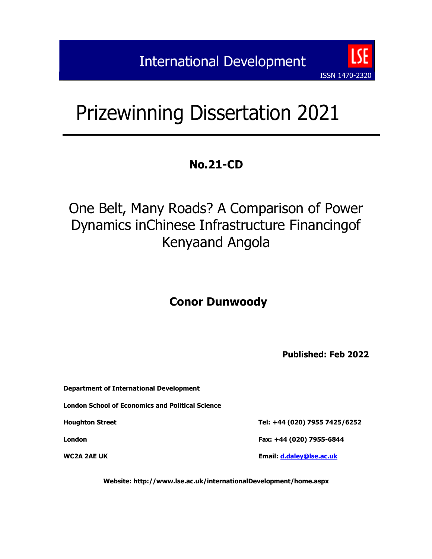# Prizewinning Dissertation 2021

## **No.21-CD**

## One Belt, Many Roads? A Comparison of Power Dynamics inChinese Infrastructure Financingof Kenyaand Angola

## **Conor Dunwoody**

**Published: Feb 2022**

ISSN 1470-2320

| Department of International Development          |                               |
|--------------------------------------------------|-------------------------------|
| London School of Economics and Political Science |                               |
| <b>Houghton Street</b>                           | Tel: +44 (020) 7955 7425/6252 |
| London                                           | Fax: +44 (020) 7955-6844      |
|                                                  |                               |

**Website: http://www.lse.ac.uk/internationalDevelopment/home.aspx**

**WC2A 2AE UK Email: [d.daley@lse.ac.uk](mailto:d.daley@lse.ac.uk)**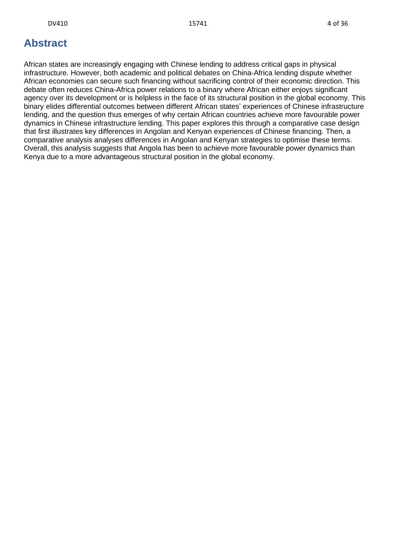## <span id="page-1-0"></span>**Abstract**

African states are increasingly engaging with Chinese lending to address critical gaps in physical infrastructure. However, both academic and political debates on China-Africa lending dispute whether African economies can secure such financing without sacrificing control of their economic direction. This debate often reduces China-Africa power relations to a binary where African either enjoys significant agency over its development or is helpless in the face of its structural position in the global economy. This binary elides differential outcomes between different African states' experiences of Chinese infrastructure lending, and the question thus emerges of why certain African countries achieve more favourable power dynamics in Chinese infrastructure lending. This paper explores this through a comparative case design that first illustrates key differences in Angolan and Kenyan experiences of Chinese financing. Then, a comparative analysis analyses differences in Angolan and Kenyan strategies to optimise these terms. Overall, this analysis suggests that Angola has been to achieve more favourable power dynamics than Kenya due to a more advantageous structural position in the global economy.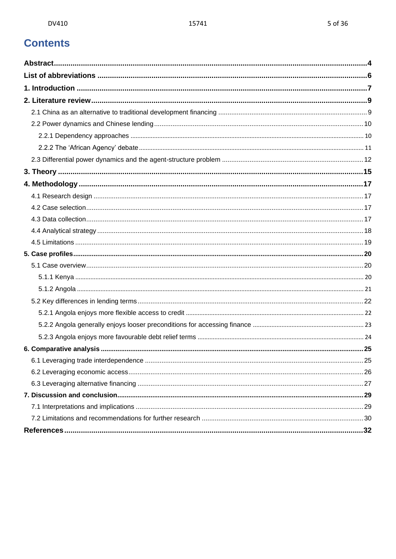## **Contents**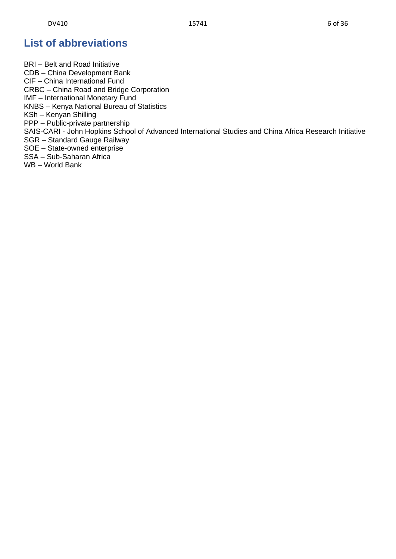## <span id="page-3-0"></span>**List of abbreviations**

BRI – Belt and Road Initiative CDB – China Development Bank CIF – China International Fund CRBC – China Road and Bridge Corporation IMF – International Monetary Fund KNBS – Kenya National Bureau of Statistics KSh – Kenyan Shilling PPP – Public-private partnership SAIS-CARI - John Hopkins School of Advanced International Studies and China Africa Research Initiative SGR – Standard Gauge Railway SOE – State-owned enterprise SSA – Sub-Saharan Africa WB – World Bank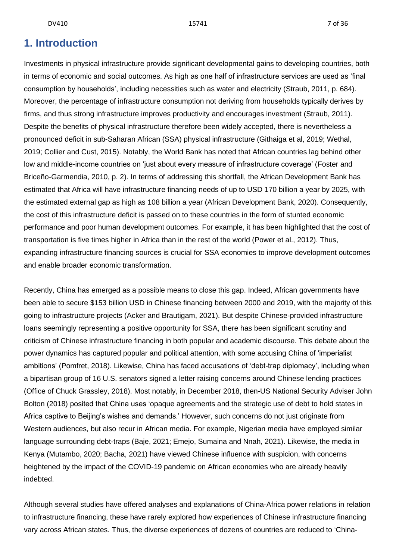## <span id="page-4-0"></span>**1. Introduction**

Investments in physical infrastructure provide significant developmental gains to developing countries, both in terms of economic and social outcomes. As high as one half of infrastructure services are used as 'final consumption by households', including necessities such as water and electricity (Straub, 2011, p. 684). Moreover, the percentage of infrastructure consumption not deriving from households typically derives by firms, and thus strong infrastructure improves productivity and encourages investment (Straub, 2011). Despite the benefits of physical infrastructure therefore been widely accepted, there is nevertheless a pronounced deficit in sub-Saharan African (SSA) physical infrastructure (Githaiga et al, 2019; Wethal, 2019; Collier and Cust, 2015). Notably, the World Bank has noted that African countries lag behind other low and middle-income countries on 'just about every measure of infrastructure coverage' (Foster and Briceño-Garmendia, 2010, p. 2). In terms of addressing this shortfall, the African Development Bank has estimated that Africa will have infrastructure financing needs of up to USD 170 billion a year by 2025, with the estimated external gap as high as 108 billion a year (African Development Bank, 2020). Consequently, the cost of this infrastructure deficit is passed on to these countries in the form of stunted economic performance and poor human development outcomes. For example, it has been highlighted that the cost of transportation is five times higher in Africa than in the rest of the world (Power et al., 2012). Thus, expanding infrastructure financing sources is crucial for SSA economies to improve development outcomes and enable broader economic transformation.

Recently, China has emerged as a possible means to close this gap. Indeed, African governments have been able to secure \$153 billion USD in Chinese financing between 2000 and 2019, with the majority of this going to infrastructure projects (Acker and Brautigam, 2021). But despite Chinese-provided infrastructure loans seemingly representing a positive opportunity for SSA, there has been significant scrutiny and criticism of Chinese infrastructure financing in both popular and academic discourse. This debate about the power dynamics has captured popular and political attention, with some accusing China of 'imperialist ambitions' (Pomfret, 2018). Likewise, China has faced accusations of 'debt-trap diplomacy', including when a bipartisan group of 16 U.S. senators signed a letter raising concerns around Chinese lending practices (Office of Chuck Grassley, 2018). Most notably, in December 2018, then-US National Security Adviser John Bolton (2018) posited that China uses 'opaque agreements and the strategic use of debt to hold states in Africa captive to Beijing's wishes and demands.' However, such concerns do not just originate from Western audiences, but also recur in African media. For example, Nigerian media have employed similar language surrounding debt-traps (Baje, 2021; Emejo, Sumaina and Nnah, 2021). Likewise, the media in Kenya (Mutambo, 2020; Bacha, 2021) have viewed Chinese influence with suspicion, with concerns heightened by the impact of the COVID-19 pandemic on African economies who are already heavily indebted.

Although several studies have offered analyses and explanations of China-Africa power relations in relation to infrastructure financing, these have rarely explored how experiences of Chinese infrastructure financing vary across African states. Thus, the diverse experiences of dozens of countries are reduced to 'China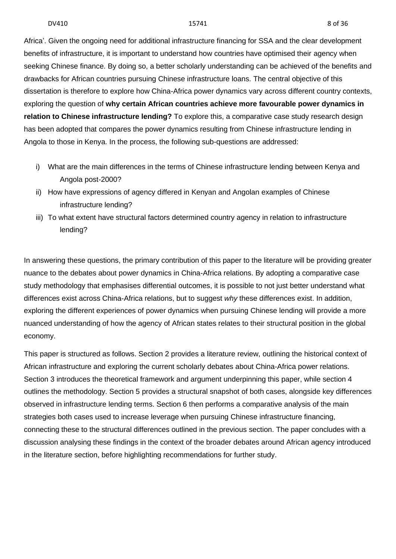Africa'. Given the ongoing need for additional infrastructure financing for SSA and the clear development benefits of infrastructure, it is important to understand how countries have optimised their agency when seeking Chinese finance. By doing so, a better scholarly understanding can be achieved of the benefits and drawbacks for African countries pursuing Chinese infrastructure loans. The central objective of this dissertation is therefore to explore how China-Africa power dynamics vary across different country contexts, exploring the question of **why certain African countries achieve more favourable power dynamics in relation to Chinese infrastructure lending?** To explore this, a comparative case study research design has been adopted that compares the power dynamics resulting from Chinese infrastructure lending in Angola to those in Kenya. In the process, the following sub-questions are addressed:

- i) What are the main differences in the terms of Chinese infrastructure lending between Kenya and Angola post-2000?
- ii) How have expressions of agency differed in Kenyan and Angolan examples of Chinese infrastructure lending?
- iii) To what extent have structural factors determined country agency in relation to infrastructure lending?

In answering these questions, the primary contribution of this paper to the literature will be providing greater nuance to the debates about power dynamics in China-Africa relations. By adopting a comparative case study methodology that emphasises differential outcomes, it is possible to not just better understand what differences exist across China-Africa relations, but to suggest *why* these differences exist. In addition, exploring the different experiences of power dynamics when pursuing Chinese lending will provide a more nuanced understanding of how the agency of African states relates to their structural position in the global economy.

This paper is structured as follows. Section 2 provides a literature review, outlining the historical context of African infrastructure and exploring the current scholarly debates about China-Africa power relations. Section 3 introduces the theoretical framework and argument underpinning this paper, while section 4 outlines the methodology. Section 5 provides a structural snapshot of both cases, alongside key differences observed in infrastructure lending terms. Section 6 then performs a comparative analysis of the main strategies both cases used to increase leverage when pursuing Chinese infrastructure financing, connecting these to the structural differences outlined in the previous section. The paper concludes with a discussion analysing these findings in the context of the broader debates around African agency introduced in the literature section, before highlighting recommendations for further study.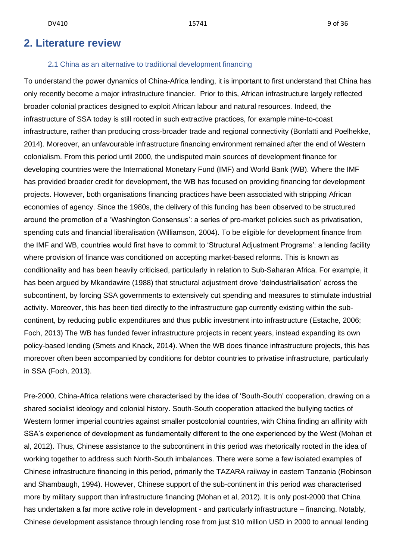## <span id="page-6-0"></span>**2. Literature review**

### 2**.**1 China as an alternative to traditional development financing

<span id="page-6-1"></span>To understand the power dynamics of China-Africa lending, it is important to first understand that China has only recently become a major infrastructure financier. Prior to this, African infrastructure largely reflected broader colonial practices designed to exploit African labour and natural resources. Indeed, the infrastructure of SSA today is still rooted in such extractive practices, for example mine-to-coast infrastructure, rather than producing cross-broader trade and regional connectivity (Bonfatti and Poelhekke, 2014). Moreover, an unfavourable infrastructure financing environment remained after the end of Western colonialism. From this period until 2000, the undisputed main sources of development finance for developing countries were the International Monetary Fund (IMF) and World Bank (WB). Where the IMF has provided broader credit for development, the WB has focused on providing financing for development projects. However, both organisations financing practices have been associated with stripping African economies of agency. Since the 1980s, the delivery of this funding has been observed to be structured around the promotion of a 'Washington Consensus': a series of pro-market policies such as privatisation, spending cuts and financial liberalisation (Williamson, 2004). To be eligible for development finance from the IMF and WB, countries would first have to commit to 'Structural Adjustment Programs': a lending facility where provision of finance was conditioned on accepting market-based reforms. This is known as conditionality and has been heavily criticised, particularly in relation to Sub-Saharan Africa. For example, it has been argued by Mkandawire (1988) that structural adjustment drove 'deindustrialisation' across the subcontinent, by forcing SSA governments to extensively cut spending and measures to stimulate industrial activity. Moreover, this has been tied directly to the infrastructure gap currently existing within the subcontinent, by reducing public expenditures and thus public investment into infrastructure (Estache, 2006; Foch, 2013) The WB has funded fewer infrastructure projects in recent years, instead expanding its own policy-based lending (Smets and Knack, 2014). When the WB does finance infrastructure projects, this has moreover often been accompanied by conditions for debtor countries to privatise infrastructure, particularly in SSA (Foch, 2013).

Pre-2000, China-Africa relations were characterised by the idea of 'South-South' cooperation, drawing on a shared socialist ideology and colonial history. South-South cooperation attacked the bullying tactics of Western former imperial countries against smaller postcolonial countries, with China finding an affinity with SSA's experience of development as fundamentally different to the one experienced by the West (Mohan et al, 2012). Thus, Chinese assistance to the subcontinent in this period was rhetorically rooted in the idea of working together to address such North-South imbalances. There were some a few isolated examples of Chinese infrastructure financing in this period, primarily the TAZARA railway in eastern Tanzania (Robinson and Shambaugh, 1994). However, Chinese support of the sub-continent in this period was characterised more by military support than infrastructure financing (Mohan et al, 2012). It is only post-2000 that China has undertaken a far more active role in development - and particularly infrastructure – financing. Notably, Chinese development assistance through lending rose from just \$10 million USD in 2000 to annual lending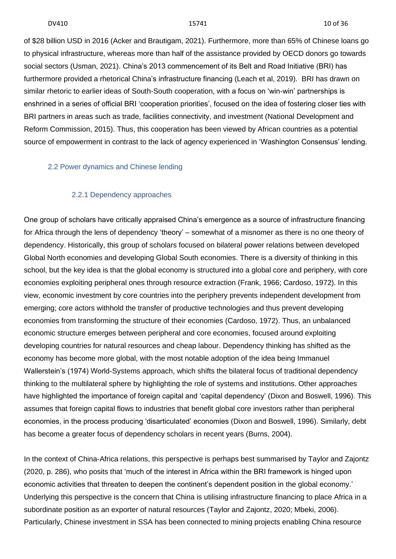of \$28 billion USD in 2016 (Acker and Brautigam, 2021). Furthermore, more than 65% of Chinese loans go to physical infrastructure, whereas more than half of the assistance provided by OECD donors go towards social sectors (Usman, 2021). China's 2013 commencement of its Belt and Road Initiative (BRI) has furthermore provided a rhetorical China's infrastructure financing (Leach et al, 2019). BRI has drawn on similar rhetoric to earlier ideas of South-South cooperation, with a focus on 'win-win' partnerships is enshrined in a series of official BRI 'cooperation priorities', focused on the idea of fostering closer ties with BRI partners in areas such as trade, facilities connectivity, and investment (National Development and Reform Commission, 2015). Thus, this cooperation has been viewed by African countries as a potential source of empowerment in contrast to the lack of agency experienced in 'Washington Consensus' lending.

### <span id="page-7-0"></span>2.2 Power dynamics and Chinese lending

## 2.2.1 Dependency approaches

<span id="page-7-1"></span>One group of scholars have critically appraised China's emergence as a source of infrastructure financing for Africa through the lens of dependency 'theory' – somewhat of a misnomer as there is no one theory of dependency. Historically, this group of scholars focused on bilateral power relations between developed Global North economies and developing Global South economies. There is a diversity of thinking in this school, but the key idea is that the global economy is structured into a global core and periphery, with core economies exploiting peripheral ones through resource extraction (Frank, 1966; Cardoso, 1972). In this view, economic investment by core countries into the periphery prevents independent development from emerging; core actors withhold the transfer of productive technologies and thus prevent developing economies from transforming the structure of their economies (Cardoso, 1972). Thus, an unbalanced economic structure emerges between peripheral and core economies, focused around exploiting developing countries for natural resources and cheap labour. Dependency thinking has shifted as the economy has become more global, with the most notable adoption of the idea being Immanuel Wallerstein's (1974) World-Systems approach, which shifts the bilateral focus of traditional dependency thinking to the multilateral sphere by highlighting the role of systems and institutions. Other approaches have highlighted the importance of foreign capital and 'capital dependency' (Dixon and Boswell, 1996). This assumes that foreign capital flows to industries that benefit global core investors rather than peripheral economies, in the process producing 'disarticulated' economies (Dixon and Boswell, 1996). Similarly, debt has become a greater focus of dependency scholars in recent years (Burns, 2004).

In the context of China-Africa relations, this perspective is perhaps best summarised by Taylor and Zajontz (2020, p. 286), who posits that 'much of the interest in Africa within the BRI framework is hinged upon economic activities that threaten to deepen the continent's dependent position in the global economy.' Underlying this perspective is the concern that China is utilising infrastructure financing to place Africa in a subordinate position as an exporter of natural resources (Taylor and Zajontz, 2020; Mbeki, 2006). Particularly, Chinese investment in SSA has been connected to mining projects enabling China resource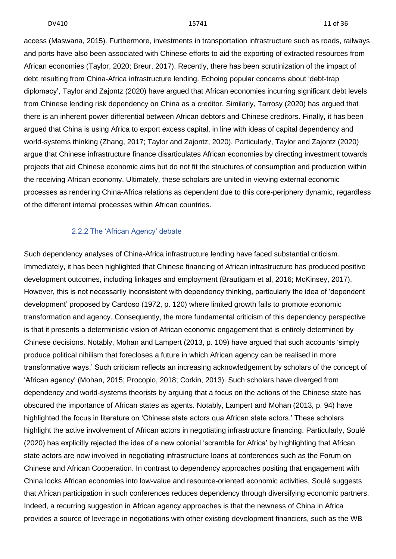access (Maswana, 2015). Furthermore, investments in transportation infrastructure such as roads, railways and ports have also been associated with Chinese efforts to aid the exporting of extracted resources from African economies (Taylor, 2020; Breur, 2017). Recently, there has been scrutinization of the impact of debt resulting from China-Africa infrastructure lending. Echoing popular concerns about 'debt-trap diplomacy', Taylor and Zajontz (2020) have argued that African economies incurring significant debt levels from Chinese lending risk dependency on China as a creditor. Similarly, Tarrosy (2020) has argued that there is an inherent power differential between African debtors and Chinese creditors. Finally, it has been argued that China is using Africa to export excess capital, in line with ideas of capital dependency and world-systems thinking (Zhang, 2017; Taylor and Zajontz, 2020). Particularly, Taylor and Zajontz (2020) argue that Chinese infrastructure finance disarticulates African economies by directing investment towards projects that aid Chinese economic aims but do not fit the structures of consumption and production within the receiving African economy. Ultimately, these scholars are united in viewing external economic processes as rendering China-Africa relations as dependent due to this core-periphery dynamic, regardless of the different internal processes within African countries.

## 2.2.2 The 'African Agency' debate

<span id="page-8-0"></span>Such dependency analyses of China-Africa infrastructure lending have faced substantial criticism. Immediately, it has been highlighted that Chinese financing of African infrastructure has produced positive development outcomes, including linkages and employment (Brautigam et al, 2016; McKinsey, 2017). However, this is not necessarily inconsistent with dependency thinking, particularly the idea of 'dependent development' proposed by Cardoso (1972, p. 120) where limited growth fails to promote economic transformation and agency. Consequently, the more fundamental criticism of this dependency perspective is that it presents a deterministic vision of African economic engagement that is entirely determined by Chinese decisions. Notably, Mohan and Lampert (2013, p. 109) have argued that such accounts 'simply produce political nihilism that forecloses a future in which African agency can be realised in more transformative ways.' Such criticism reflects an increasing acknowledgement by scholars of the concept of 'African agency' (Mohan, 2015; Procopio, 2018; Corkin, 2013). Such scholars have diverged from dependency and world-systems theorists by arguing that a focus on the actions of the Chinese state has obscured the importance of African states as agents. Notably, Lampert and Mohan (2013, p. 94) have highlighted the focus in literature on 'Chinese state actors qua African state actors.' These scholars highlight the active involvement of African actors in negotiating infrastructure financing. Particularly, Soulé (2020) has explicitly rejected the idea of a new colonial 'scramble for Africa' by highlighting that African state actors are now involved in negotiating infrastructure loans at conferences such as the Forum on Chinese and African Cooperation. In contrast to dependency approaches positing that engagement with China locks African economies into low-value and resource-oriented economic activities, Soulé suggests that African participation in such conferences reduces dependency through diversifying economic partners. Indeed, a recurring suggestion in African agency approaches is that the newness of China in Africa provides a source of leverage in negotiations with other existing development financiers, such as the WB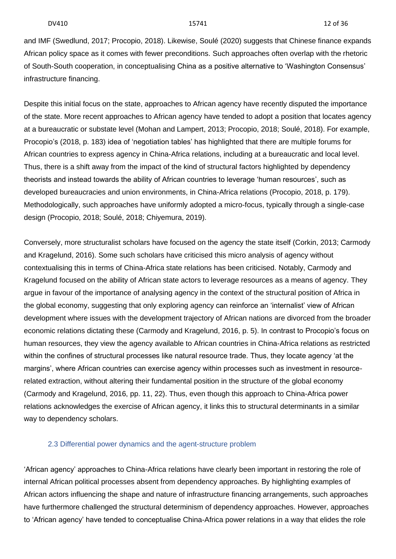and IMF (Swedlund, 2017; Procopio, 2018). Likewise, Soulé (2020) suggests that Chinese finance expands African policy space as it comes with fewer preconditions. Such approaches often overlap with the rhetoric of South-South cooperation, in conceptualising China as a positive alternative to 'Washington Consensus' infrastructure financing.

Despite this initial focus on the state, approaches to African agency have recently disputed the importance of the state. More recent approaches to African agency have tended to adopt a position that locates agency at a bureaucratic or substate level (Mohan and Lampert, 2013; Procopio, 2018; Soulé, 2018). For example, Procopio's (2018, p. 183) idea of 'negotiation tables' has highlighted that there are multiple forums for African countries to express agency in China-Africa relations, including at a bureaucratic and local level. Thus, there is a shift away from the impact of the kind of structural factors highlighted by dependency theorists and instead towards the ability of African countries to leverage 'human resources', such as developed bureaucracies and union environments, in China-Africa relations (Procopio, 2018, p. 179). Methodologically, such approaches have uniformly adopted a micro-focus, typically through a single-case design (Procopio, 2018; Soulé, 2018; Chiyemura, 2019).

Conversely, more structuralist scholars have focused on the agency the state itself (Corkin, 2013; Carmody and Kragelund, 2016). Some such scholars have criticised this micro analysis of agency without contextualising this in terms of China-Africa state relations has been criticised. Notably, Carmody and Kragelund focused on the ability of African state actors to leverage resources as a means of agency. They argue in favour of the importance of analysing agency in the context of the structural position of Africa in the global economy, suggesting that only exploring agency can reinforce an 'internalist' view of African development where issues with the development trajectory of African nations are divorced from the broader economic relations dictating these (Carmody and Kragelund, 2016, p. 5). In contrast to Procopio's focus on human resources, they view the agency available to African countries in China-Africa relations as restricted within the confines of structural processes like natural resource trade. Thus, they locate agency 'at the margins', where African countries can exercise agency within processes such as investment in resourcerelated extraction, without altering their fundamental position in the structure of the global economy (Carmody and Kragelund, 2016, pp. 11, 22). Thus, even though this approach to China-Africa power relations acknowledges the exercise of African agency, it links this to structural determinants in a similar way to dependency scholars.

## <span id="page-9-0"></span>2.3 Differential power dynamics and the agent-structure problem

'African agency' approaches to China-Africa relations have clearly been important in restoring the role of internal African political processes absent from dependency approaches. By highlighting examples of African actors influencing the shape and nature of infrastructure financing arrangements, such approaches have furthermore challenged the structural determinism of dependency approaches. However, approaches to 'African agency' have tended to conceptualise China-Africa power relations in a way that elides the role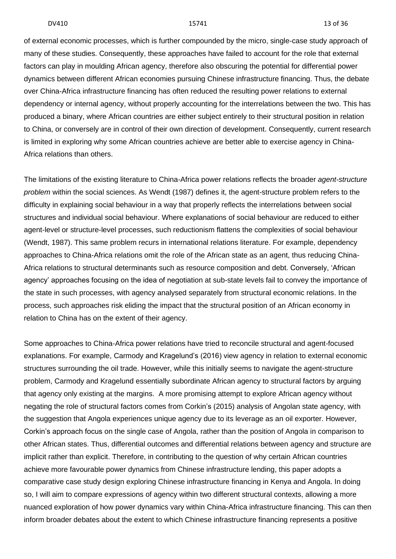of external economic processes, which is further compounded by the micro, single-case study approach of many of these studies. Consequently, these approaches have failed to account for the role that external factors can play in moulding African agency, therefore also obscuring the potential for differential power dynamics between different African economies pursuing Chinese infrastructure financing. Thus, the debate over China-Africa infrastructure financing has often reduced the resulting power relations to external dependency or internal agency, without properly accounting for the interrelations between the two. This has produced a binary, where African countries are either subject entirely to their structural position in relation to China, or conversely are in control of their own direction of development. Consequently, current research is limited in exploring why some African countries achieve are better able to exercise agency in China-Africa relations than others.

The limitations of the existing literature to China-Africa power relations reflects the broader *agent-structure problem* within the social sciences. As Wendt (1987) defines it, the agent-structure problem refers to the difficulty in explaining social behaviour in a way that properly reflects the interrelations between social structures and individual social behaviour. Where explanations of social behaviour are reduced to either agent-level or structure-level processes, such reductionism flattens the complexities of social behaviour (Wendt, 1987). This same problem recurs in international relations literature. For example, dependency approaches to China-Africa relations omit the role of the African state as an agent, thus reducing China-Africa relations to structural determinants such as resource composition and debt. Conversely, 'African agency' approaches focusing on the idea of negotiation at sub-state levels fail to convey the importance of the state in such processes, with agency analysed separately from structural economic relations. In the process, such approaches risk eliding the impact that the structural position of an African economy in relation to China has on the extent of their agency.

Some approaches to China-Africa power relations have tried to reconcile structural and agent-focused explanations. For example, Carmody and Kragelund's (2016) view agency in relation to external economic structures surrounding the oil trade. However, while this initially seems to navigate the agent-structure problem, Carmody and Kragelund essentially subordinate African agency to structural factors by arguing that agency only existing at the margins. A more promising attempt to explore African agency without negating the role of structural factors comes from Corkin's (2015) analysis of Angolan state agency, with the suggestion that Angola experiences unique agency due to its leverage as an oil exporter. However, Corkin's approach focus on the single case of Angola, rather than the position of Angola in comparison to other African states. Thus, differential outcomes and differential relations between agency and structure are implicit rather than explicit. Therefore, in contributing to the question of why certain African countries achieve more favourable power dynamics from Chinese infrastructure lending, this paper adopts a comparative case study design exploring Chinese infrastructure financing in Kenya and Angola. In doing so, I will aim to compare expressions of agency within two different structural contexts, allowing a more nuanced exploration of how power dynamics vary within China-Africa infrastructure financing. This can then inform broader debates about the extent to which Chinese infrastructure financing represents a positive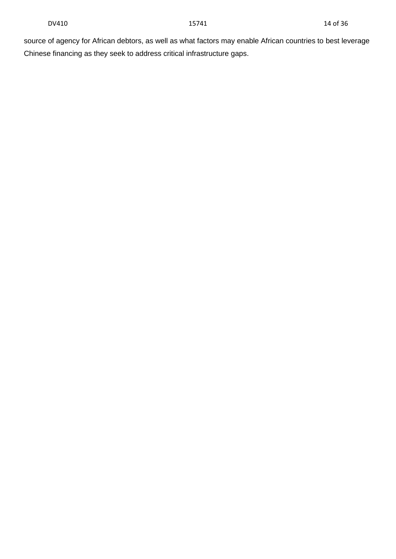source of agency for African debtors, as well as what factors may enable African countries to best leverage Chinese financing as they seek to address critical infrastructure gaps.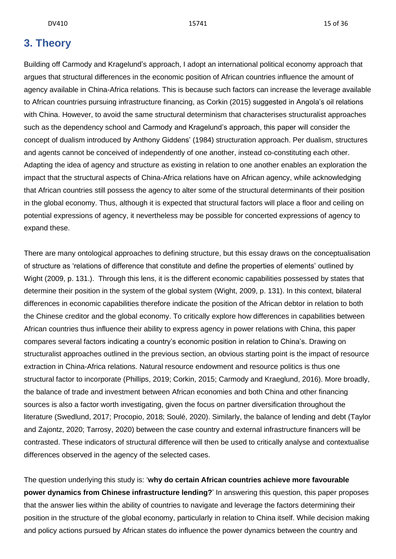## <span id="page-12-0"></span>**3. Theory**

Building off Carmody and Kragelund's approach, I adopt an international political economy approach that argues that structural differences in the economic position of African countries influence the amount of agency available in China-Africa relations. This is because such factors can increase the leverage available to African countries pursuing infrastructure financing, as Corkin (2015) suggested in Angola's oil relations with China. However, to avoid the same structural determinism that characterises structuralist approaches such as the dependency school and Carmody and Kragelund's approach, this paper will consider the concept of dualism introduced by Anthony Giddens' (1984) structuration approach. Per dualism, structures and agents cannot be conceived of independently of one another, instead co-constituting each other. Adapting the idea of agency and structure as existing in relation to one another enables an exploration the impact that the structural aspects of China-Africa relations have on African agency, while acknowledging that African countries still possess the agency to alter some of the structural determinants of their position in the global economy. Thus, although it is expected that structural factors will place a floor and ceiling on potential expressions of agency, it nevertheless may be possible for concerted expressions of agency to expand these.

There are many ontological approaches to defining structure, but this essay draws on the conceptualisation of structure as 'relations of difference that constitute and define the properties of elements' outlined by Wight (2009, p. 131.). Through this lens, it is the different economic capabilities possessed by states that determine their position in the system of the global system (Wight, 2009, p. 131). In this context, bilateral differences in economic capabilities therefore indicate the position of the African debtor in relation to both the Chinese creditor and the global economy. To critically explore how differences in capabilities between African countries thus influence their ability to express agency in power relations with China, this paper compares several factors indicating a country's economic position in relation to China's. Drawing on structuralist approaches outlined in the previous section, an obvious starting point is the impact of resource extraction in China-Africa relations. Natural resource endowment and resource politics is thus one structural factor to incorporate (Phillips, 2019; Corkin, 2015; Carmody and Kraeglund, 2016). More broadly, the balance of trade and investment between African economies and both China and other financing sources is also a factor worth investigating, given the focus on partner diversification throughout the literature (Swedlund, 2017; Procopio, 2018; Soulé, 2020). Similarly, the balance of lending and debt (Taylor and Zajontz, 2020; Tarrosy, 2020) between the case country and external infrastructure financers will be contrasted. These indicators of structural difference will then be used to critically analyse and contextualise differences observed in the agency of the selected cases.

The question underlying this study is: '**why do certain African countries achieve more favourable power dynamics from Chinese infrastructure lending?**' In answering this question, this paper proposes that the answer lies within the ability of countries to navigate and leverage the factors determining their position in the structure of the global economy, particularly in relation to China itself. While decision making and policy actions pursued by African states do influence the power dynamics between the country and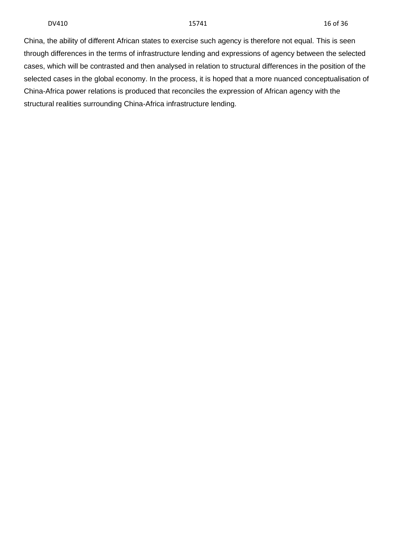China, the ability of different African states to exercise such agency is therefore not equal. This is seen through differences in the terms of infrastructure lending and expressions of agency between the selected cases, which will be contrasted and then analysed in relation to structural differences in the position of the selected cases in the global economy. In the process, it is hoped that a more nuanced conceptualisation of China-Africa power relations is produced that reconciles the expression of African agency with the structural realities surrounding China-Africa infrastructure lending.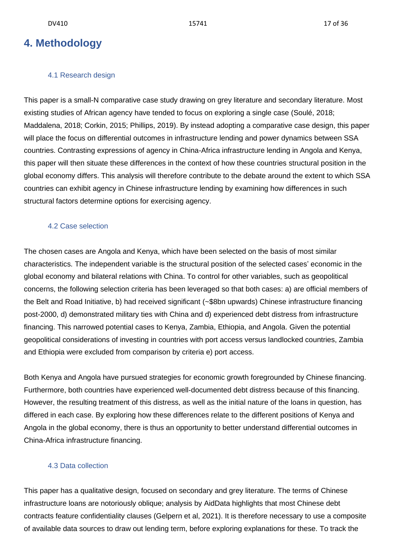## <span id="page-14-0"></span>**4. Methodology**

## 4.1 Research design

<span id="page-14-1"></span>This paper is a small-N comparative case study drawing on grey literature and secondary literature. Most existing studies of African agency have tended to focus on exploring a single case (Soulé, 2018; Maddalena, 2018; Corkin, 2015; Phillips, 2019). By instead adopting a comparative case design, this paper will place the focus on differential outcomes in infrastructure lending and power dynamics between SSA countries. Contrasting expressions of agency in China-Africa infrastructure lending in Angola and Kenya, this paper will then situate these differences in the context of how these countries structural position in the global economy differs. This analysis will therefore contribute to the debate around the extent to which SSA countries can exhibit agency in Chinese infrastructure lending by examining how differences in such structural factors determine options for exercising agency.

#### 4.2 Case selection

<span id="page-14-2"></span>The chosen cases are Angola and Kenya, which have been selected on the basis of most similar characteristics. The independent variable is the structural position of the selected cases' economic in the global economy and bilateral relations with China. To control for other variables, such as geopolitical concerns, the following selection criteria has been leveraged so that both cases: a) are official members of the Belt and Road Initiative, b) had received significant (~\$8bn upwards) Chinese infrastructure financing post-2000, d) demonstrated military ties with China and d) experienced debt distress from infrastructure financing. This narrowed potential cases to Kenya, Zambia, Ethiopia, and Angola. Given the potential geopolitical considerations of investing in countries with port access versus landlocked countries, Zambia and Ethiopia were excluded from comparison by criteria e) port access.

Both Kenya and Angola have pursued strategies for economic growth foregrounded by Chinese financing. Furthermore, both countries have experienced well-documented debt distress because of this financing. However, the resulting treatment of this distress, as well as the initial nature of the loans in question, has differed in each case. By exploring how these differences relate to the different positions of Kenya and Angola in the global economy, there is thus an opportunity to better understand differential outcomes in China-Africa infrastructure financing.

## <span id="page-14-3"></span>4.3 Data collection

This paper has a qualitative design, focused on secondary and grey literature. The terms of Chinese infrastructure loans are notoriously oblique; analysis by AidData highlights that most Chinese debt contracts feature confidentiality clauses (Gelpern et al, 2021). It is therefore necessary to use a composite of available data sources to draw out lending term, before exploring explanations for these. To track the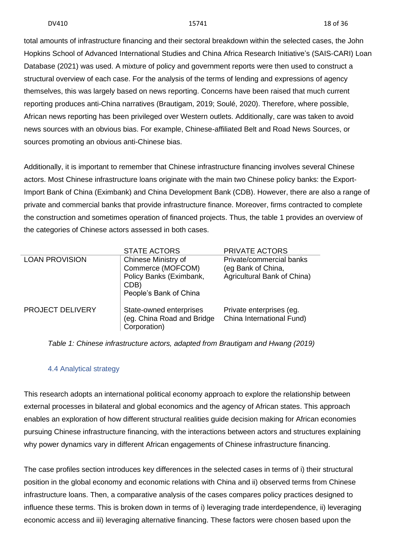total amounts of infrastructure financing and their sectoral breakdown within the selected cases, the John Hopkins School of Advanced International Studies and China Africa Research Initiative's (SAIS-CARI) Loan Database (2021) was used. A mixture of policy and government reports were then used to construct a structural overview of each case. For the analysis of the terms of lending and expressions of agency themselves, this was largely based on news reporting. Concerns have been raised that much current reporting produces anti-China narratives (Brautigam, 2019; Soulé, 2020). Therefore, where possible, African news reporting has been privileged over Western outlets. Additionally, care was taken to avoid news sources with an obvious bias. For example, Chinese-affiliated Belt and Road News Sources, or sources promoting an obvious anti-Chinese bias.

Additionally, it is important to remember that Chinese infrastructure financing involves several Chinese actors. Most Chinese infrastructure loans originate with the main two Chinese policy banks: the Export-Import Bank of China (Eximbank) and China Development Bank (CDB). However, there are also a range of private and commercial banks that provide infrastructure finance. Moreover, firms contracted to complete the construction and sometimes operation of financed projects. Thus, the table 1 provides an overview of the categories of Chinese actors assessed in both cases.

|                         | <b>STATE ACTORS</b><br>PRIVATE ACTORS                                                                 |                                                                               |  |
|-------------------------|-------------------------------------------------------------------------------------------------------|-------------------------------------------------------------------------------|--|
| <b>LOAN PROVISION</b>   | Chinese Ministry of<br>Commerce (MOFCOM)<br>Policy Banks (Eximbank,<br>CDB)<br>People's Bank of China | Private/commercial banks<br>(eg Bank of China,<br>Agricultural Bank of China) |  |
| <b>PROJECT DELIVERY</b> | State-owned enterprises<br>(eg. China Road and Bridge<br>Corporation)                                 | Private enterprises (eg.<br>China International Fund)                         |  |

*Table 1: Chinese infrastructure actors, adapted from Brautigam and Hwang (2019)*

## 4.4 Analytical strategy

<span id="page-15-0"></span>This research adopts an international political economy approach to explore the relationship between external processes in bilateral and global economics and the agency of African states. This approach enables an exploration of how different structural realities guide decision making for African economies pursuing Chinese infrastructure financing, with the interactions between actors and structures explaining why power dynamics vary in different African engagements of Chinese infrastructure financing.

The case profiles section introduces key differences in the selected cases in terms of i) their structural position in the global economy and economic relations with China and ii) observed terms from Chinese infrastructure loans. Then, a comparative analysis of the cases compares policy practices designed to influence these terms. This is broken down in terms of i) leveraging trade interdependence, ii) leveraging economic access and iii) leveraging alternative financing. These factors were chosen based upon the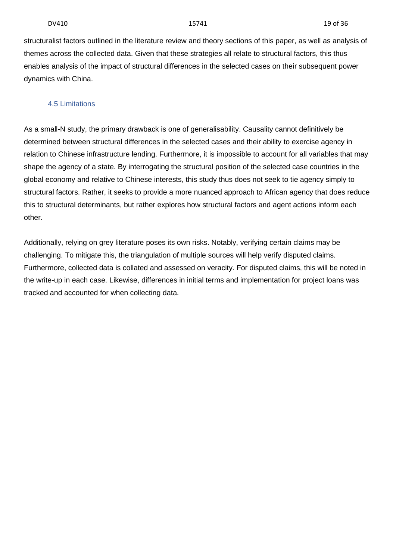structuralist factors outlined in the literature review and theory sections of this paper, as well as analysis of themes across the collected data. Given that these strategies all relate to structural factors, this thus enables analysis of the impact of structural differences in the selected cases on their subsequent power dynamics with China.

### 4.5 Limitations

<span id="page-16-0"></span>As a small-N study, the primary drawback is one of generalisability. Causality cannot definitively be determined between structural differences in the selected cases and their ability to exercise agency in relation to Chinese infrastructure lending. Furthermore, it is impossible to account for all variables that may shape the agency of a state. By interrogating the structural position of the selected case countries in the global economy and relative to Chinese interests, this study thus does not seek to tie agency simply to structural factors. Rather, it seeks to provide a more nuanced approach to African agency that does reduce this to structural determinants, but rather explores how structural factors and agent actions inform each other.

Additionally, relying on grey literature poses its own risks. Notably, verifying certain claims may be challenging. To mitigate this, the triangulation of multiple sources will help verify disputed claims. Furthermore, collected data is collated and assessed on veracity. For disputed claims, this will be noted in the write-up in each case. Likewise, differences in initial terms and implementation for project loans was tracked and accounted for when collecting data.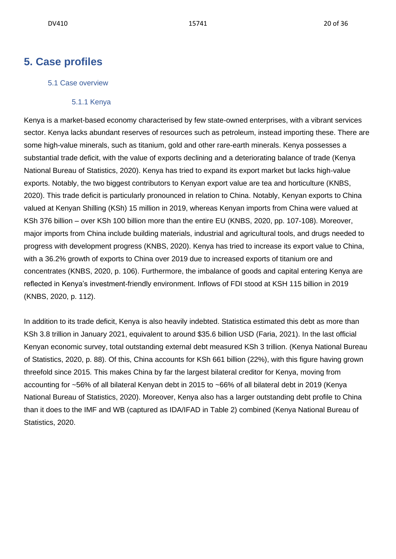## <span id="page-17-1"></span><span id="page-17-0"></span>**5. Case profiles**

### 5.1 Case overview

#### 5.1.1 Kenya

<span id="page-17-2"></span>Kenya is a market-based economy characterised by few state-owned enterprises, with a vibrant services sector. Kenya lacks abundant reserves of resources such as petroleum, instead importing these. There are some high-value minerals, such as titanium, gold and other rare-earth minerals. Kenya possesses a substantial trade deficit, with the value of exports declining and a deteriorating balance of trade (Kenya National Bureau of Statistics, 2020). Kenya has tried to expand its export market but lacks high-value exports. Notably, the two biggest contributors to Kenyan export value are tea and horticulture (KNBS, 2020). This trade deficit is particularly pronounced in relation to China. Notably, Kenyan exports to China valued at Kenyan Shilling (KSh) 15 million in 2019, whereas Kenyan imports from China were valued at KSh 376 billion – over KSh 100 billion more than the entire EU (KNBS, 2020, pp. 107-108). Moreover, major imports from China include building materials, industrial and agricultural tools, and drugs needed to progress with development progress (KNBS, 2020). Kenya has tried to increase its export value to China, with a 36.2% growth of exports to China over 2019 due to increased exports of titanium ore and concentrates (KNBS, 2020, p. 106). Furthermore, the imbalance of goods and capital entering Kenya are reflected in Kenya's investment-friendly environment. Inflows of FDI stood at KSH 115 billion in 2019 (KNBS, 2020, p. 112).

In addition to its trade deficit, Kenya is also heavily indebted. Statistica estimated this debt as more than KSh 3.8 trillion in January 2021, equivalent to around \$35.6 billion USD (Faria, 2021). In the last official Kenyan economic survey, total outstanding external debt measured KSh 3 trillion. (Kenya National Bureau of Statistics, 2020, p. 88). Of this, China accounts for KSh 661 billion (22%), with this figure having grown threefold since 2015. This makes China by far the largest bilateral creditor for Kenya, moving from accounting for ~56% of all bilateral Kenyan debt in 2015 to ~66% of all bilateral debt in 2019 (Kenya National Bureau of Statistics, 2020). Moreover, Kenya also has a larger outstanding debt profile to China than it does to the IMF and WB (captured as IDA/IFAD in Table 2) combined (Kenya National Bureau of Statistics, 2020.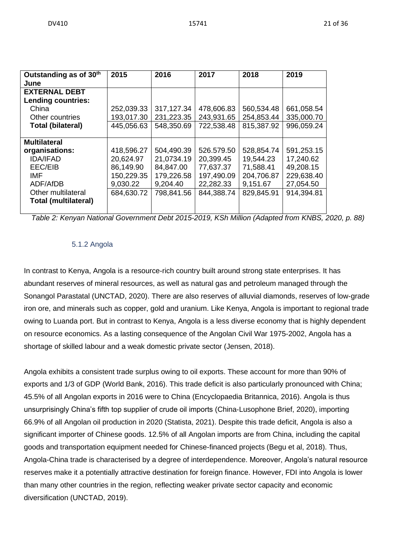| Outstanding as of 30th      | 2015       | 2016       | 2017       | 2018       | 2019       |
|-----------------------------|------------|------------|------------|------------|------------|
| June                        |            |            |            |            |            |
| <b>EXTERNAL DEBT</b>        |            |            |            |            |            |
| <b>Lending countries:</b>   |            |            |            |            |            |
| China                       | 252,039.33 | 317,127.34 | 478,606.83 | 560,534.48 | 661,058.54 |
| Other countries             | 193,017.30 | 231,223.35 | 243,931.65 | 254,853.44 | 335,000.70 |
| <b>Total (bilateral)</b>    | 445,056.63 | 548,350.69 | 722,538.48 | 815,387.92 | 996,059.24 |
|                             |            |            |            |            |            |
| <b>Multilateral</b>         |            |            |            |            |            |
| organisations:              | 418,596.27 | 504,490.39 | 526.579.50 | 528,854.74 | 591,253.15 |
| <b>IDA/IFAD</b>             | 20,624.97  | 21,0734.19 | 20,399.45  | 19,544.23  | 17,240.62  |
| EEC/EIB                     | 86,149.90  | 84,847.00  | 77,637.37  | 71,588.41  | 49,208.15  |
| IMF                         | 150,229.35 | 179,226.58 | 197,490.09 | 204,706.87 | 229,638.40 |
| ADF/AfDB                    | 9,030.22   | 9,204.40   | 22,282.33  | 9,151.67   | 27,054.50  |
| Other multilateral          | 684,630.72 | 798,841.56 | 844,388.74 | 829,845.91 | 914,394.81 |
| <b>Total (multilateral)</b> |            |            |            |            |            |
|                             |            |            |            |            |            |

<span id="page-18-0"></span>*Table 2: Kenyan National Government Debt 2015-2019, KSh Million (Adapted from KNBS, 2020, p. 88)*

## 5.1.2 Angola

In contrast to Kenya, Angola is a resource-rich country built around strong state enterprises. It has abundant reserves of mineral resources, as well as natural gas and petroleum managed through the Sonangol Parastatal (UNCTAD, 2020). There are also reserves of alluvial diamonds, reserves of low-grade iron ore, and minerals such as copper, gold and uranium. Like Kenya, Angola is important to regional trade owing to Luanda port. But in contrast to Kenya, Angola is a less diverse economy that is highly dependent on resource economics. As a lasting consequence of the Angolan Civil War 1975-2002, Angola has a shortage of skilled labour and a weak domestic private sector (Jensen, 2018).

Angola exhibits a consistent trade surplus owing to oil exports. These account for more than 90% of exports and 1/3 of GDP (World Bank, 2016). This trade deficit is also particularly pronounced with China; 45.5% of all Angolan exports in 2016 were to China (Encyclopaedia Britannica, 2016). Angola is thus unsurprisingly China's fifth top supplier of crude oil imports (China-Lusophone Brief, 2020), importing 66.9% of all Angolan oil production in 2020 (Statista, 2021). Despite this trade deficit, Angola is also a significant importer of Chinese goods. 12.5% of all Angolan imports are from China, including the capital goods and transportation equipment needed for Chinese-financed projects (Begu et al, 2018). Thus, Angola-China trade is characterised by a degree of interdependence. Moreover, Angola's natural resource reserves make it a potentially attractive destination for foreign finance. However, FDI into Angola is lower than many other countries in the region, reflecting weaker private sector capacity and economic diversification (UNCTAD, 2019).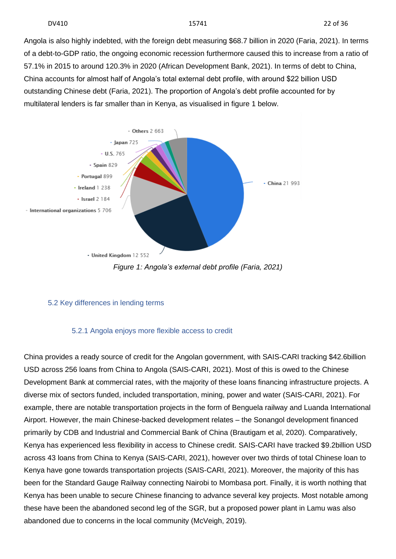Angola is also highly indebted, with the foreign debt measuring \$68.7 billion in 2020 (Faria, 2021). In terms of a debt-to-GDP ratio, the ongoing economic recession furthermore caused this to increase from a ratio of 57.1% in 2015 to around 120.3% in 2020 (African Development Bank, 2021). In terms of debt to China, China accounts for almost half of Angola's total external debt profile, with around \$22 billion USD outstanding Chinese debt (Faria, 2021). The proportion of Angola's debt profile accounted for by multilateral lenders is far smaller than in Kenya, as visualised in figure 1 below.



## <span id="page-19-0"></span>5.2 Key differences in lending terms

## 5.2.1 Angola enjoys more flexible access to credit

<span id="page-19-1"></span>China provides a ready source of credit for the Angolan government, with SAIS-CARI tracking \$42.6billion USD across 256 loans from China to Angola (SAIS-CARI, 2021). Most of this is owed to the Chinese Development Bank at commercial rates, with the majority of these loans financing infrastructure projects. A diverse mix of sectors funded, included transportation, mining, power and water (SAIS-CARI, 2021). For example, there are notable transportation projects in the form of Benguela railway and Luanda International Airport. However, the main Chinese-backed development relates – the Sonangol development financed primarily by CDB and Industrial and Commercial Bank of China (Brautigam et al, 2020). Comparatively, Kenya has experienced less flexibility in access to Chinese credit. SAIS-CARI have tracked \$9.2billion USD across 43 loans from China to Kenya (SAIS-CARI, 2021), however over two thirds of total Chinese loan to Kenya have gone towards transportation projects (SAIS-CARI, 2021). Moreover, the majority of this has been for the Standard Gauge Railway connecting Nairobi to Mombasa port. Finally, it is worth nothing that Kenya has been unable to secure Chinese financing to advance several key projects. Most notable among these have been the abandoned second leg of the SGR, but a proposed power plant in Lamu was also abandoned due to concerns in the local community (McVeigh, 2019).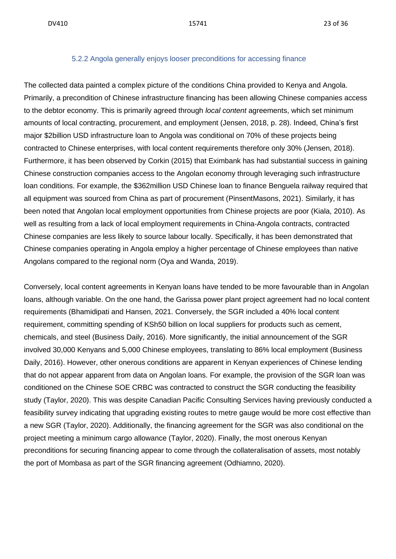#### 5.2.2 Angola generally enjoys looser preconditions for accessing finance

<span id="page-20-0"></span>The collected data painted a complex picture of the conditions China provided to Kenya and Angola. Primarily, a precondition of Chinese infrastructure financing has been allowing Chinese companies access to the debtor economy. This is primarily agreed through *local content* agreements, which set minimum amounts of local contracting, procurement, and employment (Jensen, 2018, p. 28). Indeed, China's first major \$2billion USD infrastructure loan to Angola was conditional on 70% of these projects being contracted to Chinese enterprises, with local content requirements therefore only 30% (Jensen, 2018). Furthermore, it has been observed by Corkin (2015) that Eximbank has had substantial success in gaining Chinese construction companies access to the Angolan economy through leveraging such infrastructure loan conditions. For example, the \$362million USD Chinese loan to finance Benguela railway required that all equipment was sourced from China as part of procurement (PinsentMasons, 2021). Similarly, it has been noted that Angolan local employment opportunities from Chinese projects are poor (Kiala, 2010). As well as resulting from a lack of local employment requirements in China-Angola contracts, contracted Chinese companies are less likely to source labour locally. Specifically, it has been demonstrated that Chinese companies operating in Angola employ a higher percentage of Chinese employees than native Angolans compared to the regional norm (Oya and Wanda, 2019).

Conversely, local content agreements in Kenyan loans have tended to be more favourable than in Angolan loans, although variable. On the one hand, the Garissa power plant project agreement had no local content requirements (Bhamidipati and Hansen, 2021. Conversely, the SGR included a 40% local content requirement, committing spending of KSh50 billion on local suppliers for products such as cement, chemicals, and steel (Business Daily, 2016). More significantly, the initial announcement of the SGR involved 30,000 Kenyans and 5,000 Chinese employees, translating to 86% local employment (Business Daily, 2016). However, other onerous conditions are apparent in Kenyan experiences of Chinese lending that do not appear apparent from data on Angolan loans. For example, the provision of the SGR loan was conditioned on the Chinese SOE CRBC was contracted to construct the SGR conducting the feasibility study (Taylor, 2020). This was despite Canadian Pacific Consulting Services having previously conducted a feasibility survey indicating that upgrading existing routes to metre gauge would be more cost effective than a new SGR (Taylor, 2020). Additionally, the financing agreement for the SGR was also conditional on the project meeting a minimum cargo allowance (Taylor, 2020). Finally, the most onerous Kenyan preconditions for securing financing appear to come through the collateralisation of assets, most notably the port of Mombasa as part of the SGR financing agreement (Odhiamno, 2020).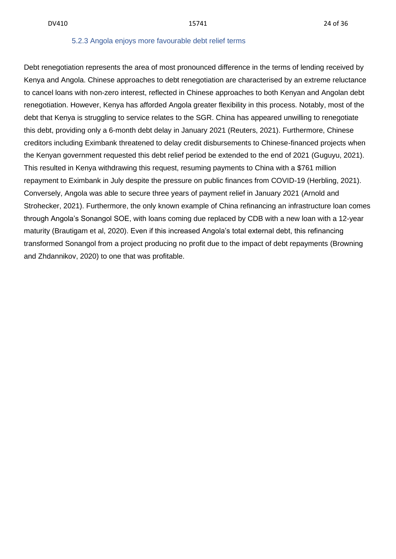#### 5.2.3 Angola enjoys more favourable debt relief terms

<span id="page-21-0"></span>Debt renegotiation represents the area of most pronounced difference in the terms of lending received by Kenya and Angola. Chinese approaches to debt renegotiation are characterised by an extreme reluctance to cancel loans with non-zero interest, reflected in Chinese approaches to both Kenyan and Angolan debt renegotiation. However, Kenya has afforded Angola greater flexibility in this process. Notably, most of the debt that Kenya is struggling to service relates to the SGR. China has appeared unwilling to renegotiate this debt, providing only a 6-month debt delay in January 2021 (Reuters, 2021). Furthermore, Chinese creditors including Eximbank threatened to delay credit disbursements to Chinese-financed projects when the Kenyan government requested this debt relief period be extended to the end of 2021 (Guguyu, 2021). This resulted in Kenya withdrawing this request, resuming payments to China with a \$761 million repayment to Eximbank in July despite the pressure on public finances from COVID-19 (Herbling, 2021). Conversely, Angola was able to secure three years of payment relief in January 2021 (Arnold and Strohecker, 2021). Furthermore, the only known example of China refinancing an infrastructure loan comes through Angola's Sonangol SOE, with loans coming due replaced by CDB with a new loan with a 12-year maturity (Brautigam et al, 2020). Even if this increased Angola's total external debt, this refinancing transformed Sonangol from a project producing no profit due to the impact of debt repayments (Browning and Zhdannikov, 2020) to one that was profitable.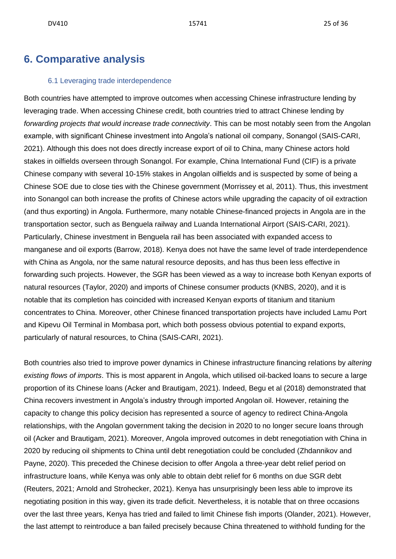## <span id="page-22-0"></span>**6. Comparative analysis**

#### 6.1 Leveraging trade interdependence

<span id="page-22-1"></span>Both countries have attempted to improve outcomes when accessing Chinese infrastructure lending by leveraging trade. When accessing Chinese credit, both countries tried to attract Chinese lending by *forwarding projects that would increase trade connectivity*. This can be most notably seen from the Angolan example, with significant Chinese investment into Angola's national oil company, Sonangol (SAIS-CARI, 2021). Although this does not does directly increase export of oil to China, many Chinese actors hold stakes in oilfields overseen through Sonangol. For example, China International Fund (CIF) is a private Chinese company with several 10-15% stakes in Angolan oilfields and is suspected by some of being a Chinese SOE due to close ties with the Chinese government (Morrissey et al, 2011). Thus, this investment into Sonangol can both increase the profits of Chinese actors while upgrading the capacity of oil extraction (and thus exporting) in Angola. Furthermore, many notable Chinese-financed projects in Angola are in the transportation sector, such as Benguela railway and Luanda International Airport (SAIS-CARI, 2021). Particularly, Chinese investment in Benguela rail has been associated with expanded access to manganese and oil exports (Barrow, 2018). Kenya does not have the same level of trade interdependence with China as Angola, nor the same natural resource deposits, and has thus been less effective in forwarding such projects. However, the SGR has been viewed as a way to increase both Kenyan exports of natural resources (Taylor, 2020) and imports of Chinese consumer products (KNBS, 2020), and it is notable that its completion has coincided with increased Kenyan exports of titanium and titanium concentrates to China. Moreover, other Chinese financed transportation projects have included Lamu Port and Kipevu Oil Terminal in Mombasa port, which both possess obvious potential to expand exports, particularly of natural resources, to China (SAIS-CARI, 2021).

Both countries also tried to improve power dynamics in Chinese infrastructure financing relations by *altering existing flows of imports*. This is most apparent in Angola, which utilised oil-backed loans to secure a large proportion of its Chinese loans (Acker and Brautigam, 2021). Indeed, Begu et al (2018) demonstrated that China recovers investment in Angola's industry through imported Angolan oil. However, retaining the capacity to change this policy decision has represented a source of agency to redirect China-Angola relationships, with the Angolan government taking the decision in 2020 to no longer secure loans through oil (Acker and Brautigam, 2021). Moreover, Angola improved outcomes in debt renegotiation with China in 2020 by reducing oil shipments to China until debt renegotiation could be concluded (Zhdannikov and Payne, 2020). This preceded the Chinese decision to offer Angola a three-year debt relief period on infrastructure loans, while Kenya was only able to obtain debt relief for 6 months on due SGR debt (Reuters, 2021; Arnold and Strohecker, 2021). Kenya has unsurprisingly been less able to improve its negotiating position in this way, given its trade deficit. Nevertheless, it is notable that on three occasions over the last three years, Kenya has tried and failed to limit Chinese fish imports (Olander, 2021). However, the last attempt to reintroduce a ban failed precisely because China threatened to withhold funding for the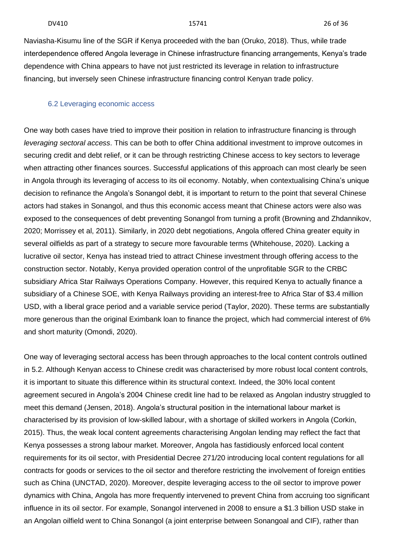Naviasha-Kisumu line of the SGR if Kenya proceeded with the ban (Oruko, 2018). Thus, while trade interdependence offered Angola leverage in Chinese infrastructure financing arrangements, Kenya's trade dependence with China appears to have not just restricted its leverage in relation to infrastructure financing, but inversely seen Chinese infrastructure financing control Kenyan trade policy.

#### <span id="page-23-0"></span>6.2 Leveraging economic access

One way both cases have tried to improve their position in relation to infrastructure financing is through *leveraging sectoral access*. This can be both to offer China additional investment to improve outcomes in securing credit and debt relief, or it can be through restricting Chinese access to key sectors to leverage when attracting other finances sources. Successful applications of this approach can most clearly be seen in Angola through its leveraging of access to its oil economy. Notably, when contextualising China's unique decision to refinance the Angola's Sonangol debt, it is important to return to the point that several Chinese actors had stakes in Sonangol, and thus this economic access meant that Chinese actors were also was exposed to the consequences of debt preventing Sonangol from turning a profit (Browning and Zhdannikov, 2020; Morrissey et al, 2011). Similarly, in 2020 debt negotiations, Angola offered China greater equity in several oilfields as part of a strategy to secure more favourable terms (Whitehouse, 2020). Lacking a lucrative oil sector, Kenya has instead tried to attract Chinese investment through offering access to the construction sector. Notably, Kenya provided operation control of the unprofitable SGR to the CRBC subsidiary Africa Star Railways Operations Company. However, this required Kenya to actually finance a subsidiary of a Chinese SOE, with Kenya Railways providing an interest-free to Africa Star of \$3.4 million USD, with a liberal grace period and a variable service period (Taylor, 2020). These terms are substantially more generous than the original Eximbank loan to finance the project, which had commercial interest of 6% and short maturity (Omondi, 2020).

One way of leveraging sectoral access has been through approaches to the local content controls outlined in 5.2. Although Kenyan access to Chinese credit was characterised by more robust local content controls, it is important to situate this difference within its structural context. Indeed, the 30% local content agreement secured in Angola's 2004 Chinese credit line had to be relaxed as Angolan industry struggled to meet this demand (Jensen, 2018). Angola's structural position in the international labour market is characterised by its provision of low-skilled labour, with a shortage of skilled workers in Angola (Corkin, 2015). Thus, the weak local content agreements characterising Angolan lending may reflect the fact that Kenya possesses a strong labour market. Moreover, Angola has fastidiously enforced local content requirements for its oil sector, with Presidential Decree 271/20 introducing local content regulations for all contracts for goods or services to the oil sector and therefore restricting the involvement of foreign entities such as China (UNCTAD, 2020). Moreover, despite leveraging access to the oil sector to improve power dynamics with China, Angola has more frequently intervened to prevent China from accruing too significant influence in its oil sector. For example, Sonangol intervened in 2008 to ensure a \$1.3 billion USD stake in an Angolan oilfield went to China Sonangol (a joint enterprise between Sonangoal and CIF), rather than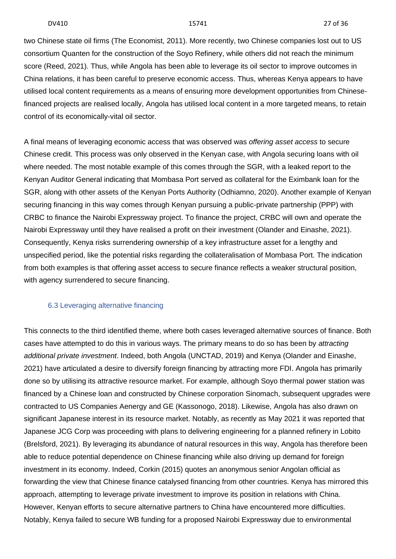two Chinese state oil firms (The Economist, 2011). More recently, two Chinese companies lost out to US consortium Quanten for the construction of the Soyo Refinery, while others did not reach the minimum score (Reed, 2021). Thus, while Angola has been able to leverage its oil sector to improve outcomes in China relations, it has been careful to preserve economic access. Thus, whereas Kenya appears to have utilised local content requirements as a means of ensuring more development opportunities from Chinesefinanced projects are realised locally, Angola has utilised local content in a more targeted means, to retain control of its economically-vital oil sector.

A final means of leveraging economic access that was observed was *offering asset access* to secure Chinese credit. This process was only observed in the Kenyan case, with Angola securing loans with oil where needed. The most notable example of this comes through the SGR, with a leaked report to the Kenyan Auditor General indicating that Mombasa Port served as collateral for the Eximbank loan for the SGR, along with other assets of the Kenyan Ports Authority (Odhiamno, 2020). Another example of Kenyan securing financing in this way comes through Kenyan pursuing a public-private partnership (PPP) with CRBC to finance the Nairobi Expressway project. To finance the project, CRBC will own and operate the Nairobi Expressway until they have realised a profit on their investment (Olander and Einashe, 2021). Consequently, Kenya risks surrendering ownership of a key infrastructure asset for a lengthy and unspecified period, like the potential risks regarding the collateralisation of Mombasa Port. The indication from both examples is that offering asset access to secure finance reflects a weaker structural position, with agency surrendered to secure financing.

### <span id="page-24-0"></span>6.3 Leveraging alternative financing

This connects to the third identified theme, where both cases leveraged alternative sources of finance. Both cases have attempted to do this in various ways. The primary means to do so has been by *attracting additional private investment*. Indeed, both Angola (UNCTAD, 2019) and Kenya (Olander and Einashe, 2021) have articulated a desire to diversify foreign financing by attracting more FDI. Angola has primarily done so by utilising its attractive resource market. For example, although Soyo thermal power station was financed by a Chinese loan and constructed by Chinese corporation Sinomach, subsequent upgrades were contracted to US Companies Aenergy and GE (Kassonogo, 2018). Likewise, Angola has also drawn on significant Japanese interest in its resource market. Notably, as recently as May 2021 it was reported that Japanese JCG Corp was proceeding with plans to delivering engineering for a planned refinery in Lobito (Brelsford, 2021). By leveraging its abundance of natural resources in this way, Angola has therefore been able to reduce potential dependence on Chinese financing while also driving up demand for foreign investment in its economy. Indeed, Corkin (2015) quotes an anonymous senior Angolan official as forwarding the view that Chinese finance catalysed financing from other countries. Kenya has mirrored this approach, attempting to leverage private investment to improve its position in relations with China. However, Kenyan efforts to secure alternative partners to China have encountered more difficulties. Notably, Kenya failed to secure WB funding for a proposed Nairobi Expressway due to environmental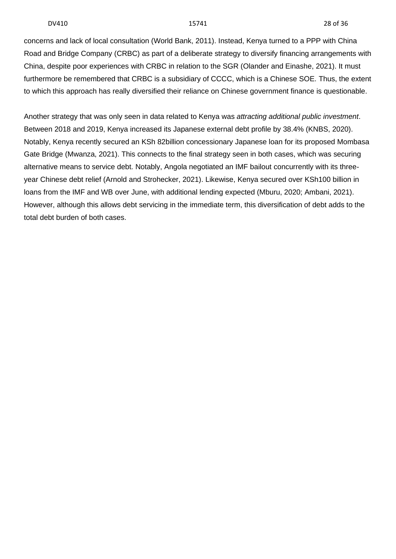concerns and lack of local consultation (World Bank, 2011). Instead, Kenya turned to a PPP with China Road and Bridge Company (CRBC) as part of a deliberate strategy to diversify financing arrangements with China, despite poor experiences with CRBC in relation to the SGR (Olander and Einashe, 2021). It must furthermore be remembered that CRBC is a subsidiary of CCCC, which is a Chinese SOE. Thus, the extent to which this approach has really diversified their reliance on Chinese government finance is questionable.

Another strategy that was only seen in data related to Kenya was *attracting additional public investment*. Between 2018 and 2019, Kenya increased its Japanese external debt profile by 38.4% (KNBS, 2020). Notably, Kenya recently secured an KSh 82billion concessionary Japanese loan for its proposed Mombasa Gate Bridge (Mwanza, 2021). This connects to the final strategy seen in both cases, which was securing alternative means to service debt. Notably, Angola negotiated an IMF bailout concurrently with its threeyear Chinese debt relief (Arnold and Strohecker, 2021). Likewise, Kenya secured over KSh100 billion in loans from the IMF and WB over June, with additional lending expected (Mburu, 2020; Ambani, 2021). However, although this allows debt servicing in the immediate term, this diversification of debt adds to the total debt burden of both cases.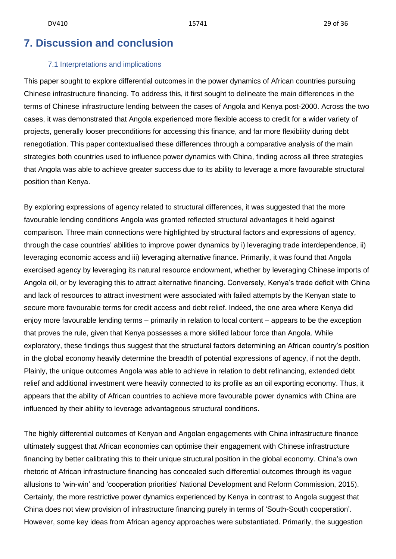## <span id="page-26-0"></span>**7. Discussion and conclusion**

### 7.1 Interpretations and implications

<span id="page-26-1"></span>This paper sought to explore differential outcomes in the power dynamics of African countries pursuing Chinese infrastructure financing. To address this, it first sought to delineate the main differences in the terms of Chinese infrastructure lending between the cases of Angola and Kenya post-2000. Across the two cases, it was demonstrated that Angola experienced more flexible access to credit for a wider variety of projects, generally looser preconditions for accessing this finance, and far more flexibility during debt renegotiation. This paper contextualised these differences through a comparative analysis of the main strategies both countries used to influence power dynamics with China, finding across all three strategies that Angola was able to achieve greater success due to its ability to leverage a more favourable structural position than Kenya.

By exploring expressions of agency related to structural differences, it was suggested that the more favourable lending conditions Angola was granted reflected structural advantages it held against comparison. Three main connections were highlighted by structural factors and expressions of agency, through the case countries' abilities to improve power dynamics by i) leveraging trade interdependence, ii) leveraging economic access and iii) leveraging alternative finance. Primarily, it was found that Angola exercised agency by leveraging its natural resource endowment, whether by leveraging Chinese imports of Angola oil, or by leveraging this to attract alternative financing. Conversely, Kenya's trade deficit with China and lack of resources to attract investment were associated with failed attempts by the Kenyan state to secure more favourable terms for credit access and debt relief. Indeed, the one area where Kenya did enjoy more favourable lending terms – primarily in relation to local content – appears to be the exception that proves the rule, given that Kenya possesses a more skilled labour force than Angola. While exploratory, these findings thus suggest that the structural factors determining an African country's position in the global economy heavily determine the breadth of potential expressions of agency, if not the depth. Plainly, the unique outcomes Angola was able to achieve in relation to debt refinancing, extended debt relief and additional investment were heavily connected to its profile as an oil exporting economy. Thus, it appears that the ability of African countries to achieve more favourable power dynamics with China are influenced by their ability to leverage advantageous structural conditions.

The highly differential outcomes of Kenyan and Angolan engagements with China infrastructure finance ultimately suggest that African economies can optimise their engagement with Chinese infrastructure financing by better calibrating this to their unique structural position in the global economy. China's own rhetoric of African infrastructure financing has concealed such differential outcomes through its vague allusions to 'win-win' and 'cooperation priorities' National Development and Reform Commission, 2015). Certainly, the more restrictive power dynamics experienced by Kenya in contrast to Angola suggest that China does not view provision of infrastructure financing purely in terms of 'South-South cooperation'. However, some key ideas from African agency approaches were substantiated. Primarily, the suggestion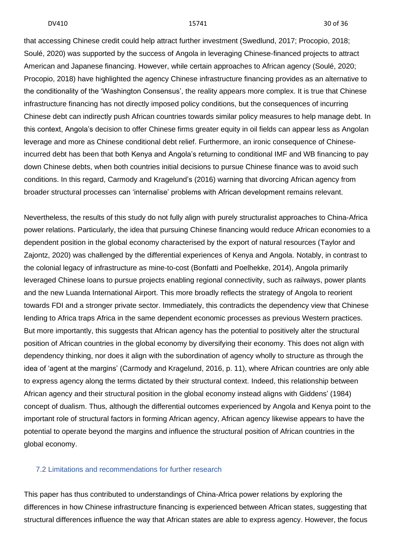that accessing Chinese credit could help attract further investment (Swedlund, 2017; Procopio, 2018; Soulé, 2020) was supported by the success of Angola in leveraging Chinese-financed projects to attract American and Japanese financing. However, while certain approaches to African agency (Soulé, 2020; Procopio, 2018) have highlighted the agency Chinese infrastructure financing provides as an alternative to the conditionality of the 'Washington Consensus', the reality appears more complex. It is true that Chinese infrastructure financing has not directly imposed policy conditions, but the consequences of incurring Chinese debt can indirectly push African countries towards similar policy measures to help manage debt. In this context, Angola's decision to offer Chinese firms greater equity in oil fields can appear less as Angolan leverage and more as Chinese conditional debt relief. Furthermore, an ironic consequence of Chineseincurred debt has been that both Kenya and Angola's returning to conditional IMF and WB financing to pay down Chinese debts, when both countries initial decisions to pursue Chinese finance was to avoid such conditions. In this regard, Carmody and Kragelund's (2016) warning that divorcing African agency from broader structural processes can 'internalise' problems with African development remains relevant.

Nevertheless, the results of this study do not fully align with purely structuralist approaches to China-Africa power relations. Particularly, the idea that pursuing Chinese financing would reduce African economies to a dependent position in the global economy characterised by the export of natural resources (Taylor and Zajontz, 2020) was challenged by the differential experiences of Kenya and Angola. Notably, in contrast to the colonial legacy of infrastructure as mine-to-cost (Bonfatti and Poelhekke, 2014), Angola primarily leveraged Chinese loans to pursue projects enabling regional connectivity, such as railways, power plants and the new Luanda International Airport. This more broadly reflects the strategy of Angola to reorient towards FDI and a stronger private sector. Immediately, this contradicts the dependency view that Chinese lending to Africa traps Africa in the same dependent economic processes as previous Western practices. But more importantly, this suggests that African agency has the potential to positively alter the structural position of African countries in the global economy by diversifying their economy. This does not align with dependency thinking, nor does it align with the subordination of agency wholly to structure as through the idea of 'agent at the margins' (Carmody and Kragelund, 2016, p. 11), where African countries are only able to express agency along the terms dictated by their structural context. Indeed, this relationship between African agency and their structural position in the global economy instead aligns with Giddens' (1984) concept of dualism. Thus, although the differential outcomes experienced by Angola and Kenya point to the important role of structural factors in forming African agency, African agency likewise appears to have the potential to operate beyond the margins and influence the structural position of African countries in the global economy.

#### <span id="page-27-0"></span>7.2 Limitations and recommendations for further research

This paper has thus contributed to understandings of China-Africa power relations by exploring the differences in how Chinese infrastructure financing is experienced between African states, suggesting that structural differences influence the way that African states are able to express agency. However, the focus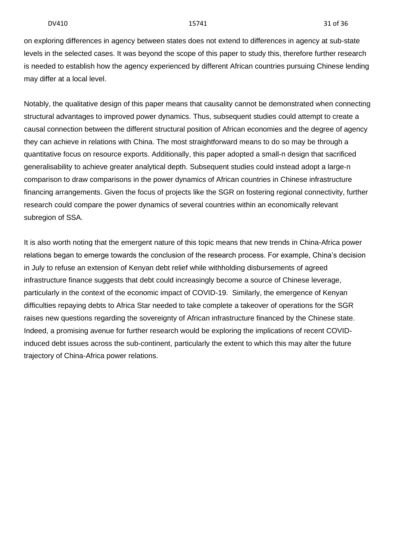on exploring differences in agency between states does not extend to differences in agency at sub-state levels in the selected cases. It was beyond the scope of this paper to study this, therefore further research is needed to establish how the agency experienced by different African countries pursuing Chinese lending may differ at a local level.

Notably, the qualitative design of this paper means that causality cannot be demonstrated when connecting structural advantages to improved power dynamics. Thus, subsequent studies could attempt to create a causal connection between the different structural position of African economies and the degree of agency they can achieve in relations with China. The most straightforward means to do so may be through a quantitative focus on resource exports. Additionally, this paper adopted a small-n design that sacrificed generalisability to achieve greater analytical depth. Subsequent studies could instead adopt a large-n comparison to draw comparisons in the power dynamics of African countries in Chinese infrastructure financing arrangements. Given the focus of projects like the SGR on fostering regional connectivity, further research could compare the power dynamics of several countries within an economically relevant subregion of SSA.

It is also worth noting that the emergent nature of this topic means that new trends in China-Africa power relations began to emerge towards the conclusion of the research process. For example, China's decision in July to refuse an extension of Kenyan debt relief while withholding disbursements of agreed infrastructure finance suggests that debt could increasingly become a source of Chinese leverage, particularly in the context of the economic impact of COVID-19. Similarly, the emergence of Kenyan difficulties repaying debts to Africa Star needed to take complete a takeover of operations for the SGR raises new questions regarding the sovereignty of African infrastructure financed by the Chinese state. Indeed, a promising avenue for further research would be exploring the implications of recent COVIDinduced debt issues across the sub-continent, particularly the extent to which this may alter the future trajectory of China-Africa power relations.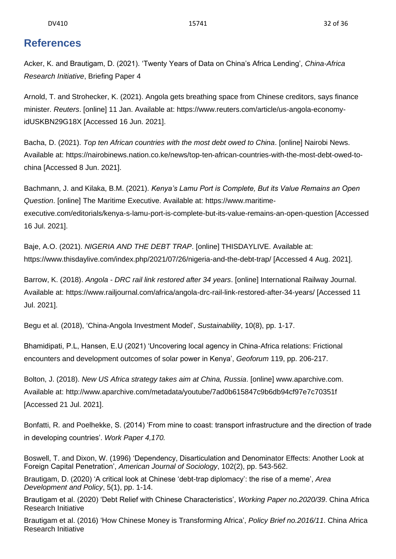## <span id="page-29-0"></span>**References**

Acker, K. and Brautigam, D. (2021). 'Twenty Years of Data on China's Africa Lending', *China-Africa Research Initiative*, Briefing Paper 4

Arnold, T. and Strohecker, K. (2021). Angola gets breathing space from Chinese creditors, says finance minister. *Reuters*. [online] 11 Jan. Available at: https://www.reuters.com/article/us-angola-economyidUSKBN29G18X [Accessed 16 Jun. 2021].

Bacha, D. (2021). *Top ten African countries with the most debt owed to China*. [online] Nairobi News. Available at: https://nairobinews.nation.co.ke/news/top-ten-african-countries-with-the-most-debt-owed-tochina [Accessed 8 Jun. 2021].

Bachmann, J. and Kilaka, B.M. (2021). *Kenya's Lamu Port is Complete, But its Value Remains an Open Question*. [online] The Maritime Executive. Available at: https://www.maritimeexecutive.com/editorials/kenya-s-lamu-port-is-complete-but-its-value-remains-an-open-question [Accessed 16 Jul. 2021].

Baje, A.O. (2021). *NIGERIA AND THE DEBT TRAP*. [online] THISDAYLIVE. Available at: https://www.thisdaylive.com/index.php/2021/07/26/nigeria-and-the-debt-trap/ [Accessed 4 Aug. 2021].

Barrow, K. (2018). *Angola - DRC rail link restored after 34 years*. [online] International Railway Journal. Available at: https://www.railjournal.com/africa/angola-drc-rail-link-restored-after-34-years/ [Accessed 11 Jul. 2021].

Begu et al. (2018), 'China-Angola Investment Model', *Sustainability*, 10(8), pp. 1-17.

Bhamidipati, P.L, Hansen, E.U (2021) 'Uncovering local agency in China-Africa relations: Frictional encounters and development outcomes of solar power in Kenya', *Geoforum* 119, pp. 206-217.

Bolton, J. (2018). *New US Africa strategy takes aim at China, Russia*. [online] www.aparchive.com. Available at: http://www.aparchive.com/metadata/youtube/7ad0b615847c9b6db94cf97e7c70351f [Accessed 21 Jul. 2021].

Bonfatti, R. and Poelhekke, S. (2014) 'From mine to coast: transport infrastructure and the direction of trade in developing countries'. *Work Paper 4,170.*

Boswell, T. and Dixon, W. (1996) 'Dependency, Disarticulation and Denominator Effects: Another Look at Foreign Capital Penetration', *American Journal of Sociology*, 102(2), pp. 543-562.

Brautigam, D. (2020) 'A critical look at Chinese 'debt-trap diplomacy': the rise of a meme', *Area Development and Policy*, 5(1), pp. 1-14.

Brautigam et al. (2020) 'Debt Relief with Chinese Characteristics', *Working Paper no.2020/39*. China Africa Research Initiative

Brautigam et al. (2016) 'How Chinese Money is Transforming Africa', *Policy Brief no.2016/11*. China Africa Research Initiative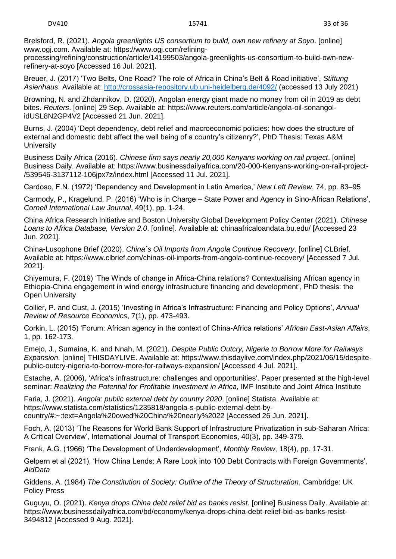Brelsford, R. (2021). *Angola greenlights US consortium to build, own new refinery at Soyo*. [online] www.ogj.com. Available at: https://www.ogj.com/refining-

processing/refining/construction/article/14199503/angola-greenlights-us-consortium-to-build-own-newrefinery-at-soyo [Accessed 16 Jul. 2021].

Breuer, J. (2017) 'Two Belts, One Road? The role of Africa in China's Belt & Road initiative', *Stiftung Asienhaus*. Available at:<http://crossasia-repository.ub.uni-heidelberg.de/4092/> (accessed 13 July 2021)

Browning, N. and Zhdannikov, D. (2020). Angolan energy giant made no money from oil in 2019 as debt bites. *Reuters*. [online] 29 Sep. Available at: https://www.reuters.com/article/angola-oil-sonangolidUSL8N2GP4V2 [Accessed 21 Jun. 2021].

Burns, J. (2004) 'Dept dependency, debt relief and macroeconomic policies: how does the structure of external and domestic debt affect the well being of a country's citizenry?', PhD Thesis: Texas A&M **University** 

Business Daily Africa (2016). *Chinese firm says nearly 20,000 Kenyans working on rail project*. [online] Business Daily. Available at: https://www.businessdailyafrica.com/20-000-Kenyans-working-on-rail-project- /539546-3137112-106jpx7z/index.html [Accessed 11 Jul. 2021].

Cardoso, F.N. (1972) 'Dependency and Development in Latin America,' *New Left Review*, 74, pp. 83–95

Carmody, P., Kragelund, P. (2016) 'Who is in Charge – State Power and Agency in Sino-African Relations', *Cornell International Law Journal*, 49(1), pp. 1-24.

China Africa Research Initiative and Boston University Global Development Policy Center (2021). *Chinese Loans to Africa Database, Version 2.0*. [online]. Available at: chinaafricaloandata.bu.edu/ [Accessed 23 Jun. 2021].

China-Lusophone Brief (2020). *China´s Oil Imports from Angola Continue Recovery*. [online] CLBrief. Available at: https://www.clbrief.com/chinas-oil-imports-from-angola-continue-recovery/ [Accessed 7 Jul. 2021].

Chiyemura, F. (2019) 'The Winds of change in Africa-China relations? Contextualising African agency in Ethiopia-China engagement in wind energy infrastructure financing and development', PhD thesis: the Open University

Collier, P. and Cust, J. (2015) 'Investing in Africa's Infrastructure: Financing and Policy Options', *Annual Review of Resource Economics*, 7(1), pp. 473-493.

Corkin, L. (2015) 'Forum: African agency in the context of China-Africa relations' *African East-Asian Affairs*, 1, pp. 162-173.

Emejo, J., Sumaina, K. and Nnah, M. (2021). *Despite Public Outcry, Nigeria to Borrow More for Railways Expansion*. [online] THISDAYLIVE. Available at: https://www.thisdaylive.com/index.php/2021/06/15/despitepublic-outcry-nigeria-to-borrow-more-for-railways-expansion/ [Accessed 4 Jul. 2021].

Estache, A. (2006), 'Africa's infrastructure: challenges and opportunities'. Paper presented at the high-level seminar: *Realizing the Potential for Profitable Investment in Africa*, IMF Institute and Joint Africa Institute

Faria, J. (2021). *Angola: public external debt by country 2020*. [online] Statista. Available at: https://www.statista.com/statistics/1235818/angola-s-public-external-debt-bycountry/#:~:text=Angola%20owed%20China%20nearly%2022 [Accessed 26 Jun. 2021].

Foch, A. (2013) 'The Reasons for World Bank Support of Infrastructure Privatization in sub-Saharan Africa: A Critical Overview', International Journal of Transport Economies, 40(3), pp. 349-379.

Frank, A.G. (1966) 'The Development of Underdevelopment', *Monthly Review*, 18(4), pp. 17-31.

Gelpern et al (2021), 'How China Lends: A Rare Look into 100 Debt Contracts with Foreign Governments', *AidData*

Giddens, A. (1984) *The Constitution of Society: Outline of the Theory of Structuration*, Cambridge: UK Policy Press

Guguyu, O. (2021). *Kenya drops China debt relief bid as banks resist*. [online] Business Daily. Available at: https://www.businessdailyafrica.com/bd/economy/kenya-drops-china-debt-relief-bid-as-banks-resist-3494812 [Accessed 9 Aug. 2021].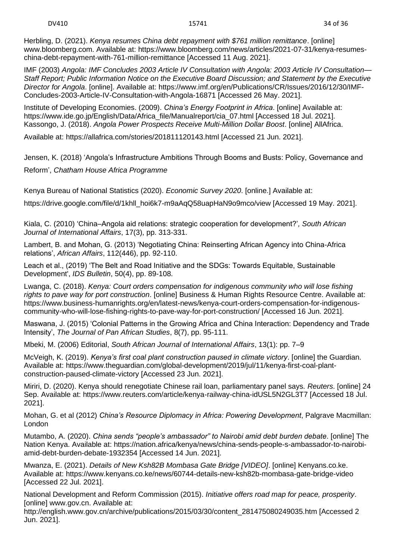Herbling, D. (2021). *Kenya resumes China debt repayment with \$761 million remittance*. [online] www.bloomberg.com. Available at: https://www.bloomberg.com/news/articles/2021-07-31/kenya-resumeschina-debt-repayment-with-761-million-remittance [Accessed 11 Aug. 2021].

IMF (2003) *Angola: IMF Concludes 2003 Article IV Consultation with Angola: 2003 Article IV Consultation— Staff Report; Public Information Notice on the Executive Board Discussion; and Statement by the Executive Director for Angola*. [online]. Available at: https://www.imf.org/en/Publications/CR/Issues/2016/12/30/IMF-Concludes-2003-Article-IV-Consultation-with-Angola-16871 [Accessed 26 May. 2021].

Institute of Developing Economies. (2009). *China's Energy Footprint in Africa*. [online] Available at: https://www.ide.go.jp/English/Data/Africa\_file/Manualreport/cia\_07.html [Accessed 18 Jul. 2021]. Kassongo, J. (2018). *Angola Power Prospects Receive Multi-Million Dollar Boost*. [online] AllAfrica.

Available at: https://allafrica.com/stories/201811120143.html [Accessed 21 Jun. 2021].

Jensen, K. (2018) 'Angola's Infrastructure Ambitions Through Booms and Busts: Policy, Governance and Reform', *Chatham House Africa Programme*

Kenya Bureau of National Statistics (2020). *Economic Survey 2020*. [online.] Available at:

https://drive.google.com/file/d/1khll\_hoi6k7-m9aAqQ58uapHaN9o9mco/view [Accessed 19 May. 2021].

Kiala, C. (2010) 'China–Angola aid relations: strategic cooperation for development?'*, South African Journal of International Affairs*, 17(3), pp. 313-331.

Lambert, B. and Mohan, G. (2013) 'Negotiating China: Reinserting African Agency into China-Africa relations', *African Affairs*, 112(446), pp. 92-110.

Leach et al., (2019) 'The Belt and Road Initiative and the SDGs: Towards Equitable, Sustainable Development', *IDS Bulletin*, 50(4), pp. 89-108.

Lwanga, C. (2018). *Kenya: Court orders compensation for indigenous community who will lose fishing rights to pave way for port construction*. [online] Business & Human Rights Resource Centre. Available at: https://www.business-humanrights.org/en/latest-news/kenya-court-orders-compensation-for-indigenouscommunity-who-will-lose-fishing-rights-to-pave-way-for-port-construction/ [Accessed 16 Jun. 2021].

Maswana, J. (2015) 'Colonial Patterns in the Growing Africa and China Interaction: Dependency and Trade Intensity', *The Journal of Pan African Studies*, 8(7), pp. 95-111.

Mbeki, M. (2006) Editorial, *South African Journal of International Affairs*, 13(1): pp. 7–9

McVeigh, K. (2019). *Kenya's first coal plant construction paused in climate victory*. [online] the Guardian. Available at: https://www.theguardian.com/global-development/2019/jul/11/kenya-first-coal-plantconstruction-paused-climate-victory [Accessed 23 Jun. 2021].

Miriri, D. (2020). Kenya should renegotiate Chinese rail loan, parliamentary panel says. *Reuters*. [online] 24 Sep. Available at: https://www.reuters.com/article/kenya-railway-china-idUSL5N2GL3T7 [Accessed 18 Jul. 2021].

Mohan, G. et al (2012) *China's Resource Diplomacy in Africa: Powering Development*, Palgrave Macmillan: London

Mutambo, A. (2020). *China sends "people's ambassador" to Nairobi amid debt burden debate*. [online] The Nation Kenya. Available at: https://nation.africa/kenya/news/china-sends-people-s-ambassador-to-nairobiamid-debt-burden-debate-1932354 [Accessed 14 Jun. 2021].

Mwanza, E. (2021). *Details of New Ksh82B Mombasa Gate Bridge [VIDEO]*. [online] Kenyans.co.ke. Available at: https://www.kenyans.co.ke/news/60744-details-new-ksh82b-mombasa-gate-bridge-video [Accessed 22 Jul. 2021].

National Development and Reform Commission (2015). *Initiative offers road map for peace, prosperity*. [online] www.gov.cn. Available at:

http://english.www.gov.cn/archive/publications/2015/03/30/content\_281475080249035.htm [Accessed 2 Jun. 2021].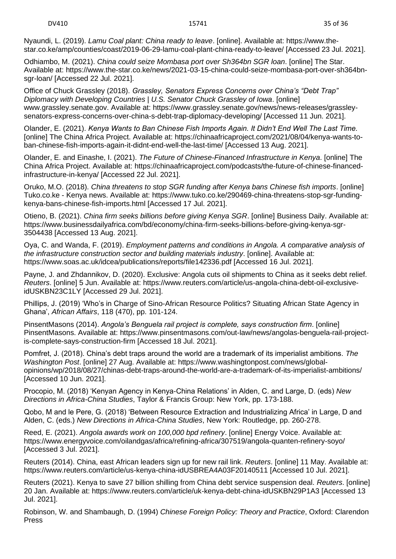Nyaundi, L. (2019). *Lamu Coal plant: China ready to leave*. [online]. Available at: https://www.thestar.co.ke/amp/counties/coast/2019-06-29-lamu-coal-plant-china-ready-to-leave/ [Accessed 23 Jul. 2021].

Odhiambo, M. (2021). *China could seize Mombasa port over Sh364bn SGR loan*. [online] The Star. Available at: https://www.the-star.co.ke/news/2021-03-15-china-could-seize-mombasa-port-over-sh364bnsgr-loan/ [Accessed 22 Jul. 2021].

Office of Chuck Grassley (2018). *Grassley, Senators Express Concerns over China's "Debt Trap" Diplomacy with Developing Countries | U.S. Senator Chuck Grassley of Iowa*. [online] www.grassley.senate.gov. Available at: https://www.grassley.senate.gov/news/news-releases/grassleysenators-express-concerns-over-china-s-debt-trap-diplomacy-developing/ [Accessed 11 Jun. 2021].

Olander, E. (2021). *Kenya Wants to Ban Chinese Fish Imports Again. It Didn't End Well The Last Time.* [online] The China Africa Project. Available at: https://chinaafricaproject.com/2021/08/04/kenya-wants-toban-chinese-fish-imports-again-it-didnt-end-well-the-last-time/ [Accessed 13 Aug. 2021].

Olander, E. and Einashe, I. (2021). *The Future of Chinese-Financed Infrastructure in Kenya*. [online] The China Africa Project. Available at: https://chinaafricaproject.com/podcasts/the-future-of-chinese-financedinfrastructure-in-kenya/ [Accessed 22 Jul. 2021].

Oruko, M.O. (2018). *China threatens to stop SGR funding after Kenya bans Chinese fish imports*. [online] Tuko.co.ke - Kenya news. Available at: https://www.tuko.co.ke/290469-china-threatens-stop-sgr-fundingkenya-bans-chinese-fish-imports.html [Accessed 17 Jul. 2021].

Otieno, B. (2021). *China firm seeks billions before giving Kenya SGR*. [online] Business Daily. Available at: https://www.businessdailyafrica.com/bd/economy/china-firm-seeks-billions-before-giving-kenya-sgr-3504438 [Accessed 13 Aug. 2021].

Oya, C. and Wanda, F. (2019). *Employment patterns and conditions in Angola. A comparative analysis of the infrastructure construction sector and building materials industry*. [online]. Available at: https://www.soas.ac.uk/idcea/publications/reports/file142336.pdf [Accessed 16 Jul. 2021].

Payne, J. and Zhdannikov, D. (2020). Exclusive: Angola cuts oil shipments to China as it seeks debt relief. *Reuters*. [online] 5 Jun. Available at: https://www.reuters.com/article/us-angola-china-debt-oil-exclusiveidUSKBN23C1LY [Accessed 29 Jul. 2021].

Phillips, J. (2019) 'Who's in Charge of Sino-African Resource Politics? Situating African State Agency in Ghana', *African Affairs*, 118 (470), pp. 101-124.

PinsentMasons (2014). *Angola's Benguela rail project is complete, says construction firm*. [online] PinsentMasons. Available at: https://www.pinsentmasons.com/out-law/news/angolas-benguela-rail-projectis-complete-says-construction-firm [Accessed 18 Jul. 2021].

Pomfret, J. (2018). China's debt traps around the world are a trademark of its imperialist ambitions. *The Washington Post*. [online] 27 Aug. Available at: https://www.washingtonpost.com/news/globalopinions/wp/2018/08/27/chinas-debt-traps-around-the-world-are-a-trademark-of-its-imperialist-ambitions/ [Accessed 10 Jun. 2021].

Procopio, M. (2018) 'Kenyan Agency in Kenya-China Relations' in Alden, C. and Large, D. (eds) *New Directions in Africa-China Studies*, Taylor & Francis Group: New York, pp. 173-188.

Qobo, M and le Pere, G. (2018) 'Between Resource Extraction and Industrializing Africa' in Large, D and Alden, C. (eds.) *New Directions in Africa-China Studies*, New York: Routledge, pp. 260-278.

Reed, E. (2021). *Angola awards work on 100,000 bpd refinery*. [online] Energy Voice. Available at: https://www.energyvoice.com/oilandgas/africa/refining-africa/307519/angola-quanten-refinery-soyo/ [Accessed 3 Jul. 2021].

Reuters (2014). China, east African leaders sign up for new rail link. *Reuters*. [online] 11 May. Available at: https://www.reuters.com/article/us-kenya-china-idUSBREA4A03F20140511 [Accessed 10 Jul. 2021].

Reuters (2021). Kenya to save 27 billion shilling from China debt service suspension deal. *Reuters*. [online] 20 Jan. Available at: https://www.reuters.com/article/uk-kenya-debt-china-idUSKBN29P1A3 [Accessed 13 Jul. 2021].

Robinson, W. and Shambaugh, D. (1994) *Chinese Foreign Policy: Theory and Practice*, Oxford: Clarendon Press